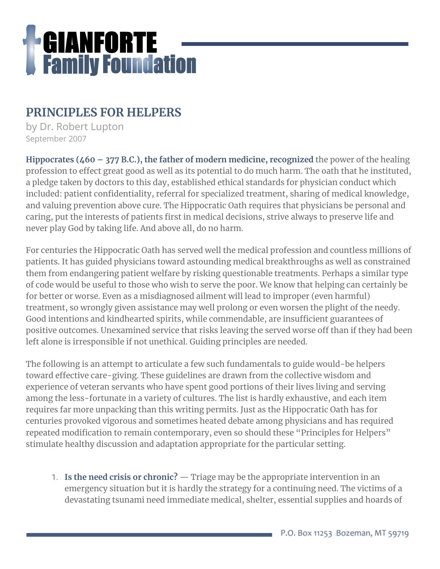

# **PRINCIPLES FOR HELPERS**

by Dr. Robert Lupton September 2007

**Hippocrates (460 – 377 B.C.), the father of modern medicine, recognized** the power of the healing profession to effect great good as well as its potential to do much harm. The oath that he instituted, a pledge taken by doctors to this day, established ethical standards for physician conduct which included: patient confidentiality, referral for specialized treatment, sharing of medical knowledge, and valuing prevention above cure. The Hippocratic Oath requires that physicians be personal and caring, put the interests of patients first in medical decisions, strive always to preserve life and never play God by taking life. And above all, do no harm.

For centuries the Hippocratic Oath has served well the medical profession and countless millions of patients. It has guided physicians toward astounding medical breakthroughs as well as constrained them from endangering patient welfare by risking questionable treatments. Perhaps a similar type of code would be useful to those who wish to serve the poor. We know that helping can certainly be for better or worse. Even as a misdiagnosed ailment will lead to improper (even harmful) treatment, so wrongly given assistance may well prolong or even worsen the plight of the needy. Good intentions and kindhearted spirits, while commendable, are insufficient guarantees of positive outcomes. Unexamined service that risks leaving the served worse off than if they had been left alone is irresponsible if not unethical. Guiding principles are needed.

The following is an attempt to articulate a few such fundamentals to guide would-be helpers toward effective care-giving. These guidelines are drawn from the collective wisdom and experience of veteran servants who have spent good portions of their lives living and serving among the less-fortunate in a variety of cultures. The list is hardly exhaustive, and each item requires far more unpacking than this writing permits. Just as the Hippocratic Oath has for centuries provoked vigorous and sometimes heated debate among physicians and has required repeated modification to remain contemporary, even so should these "Principles for Helpers" stimulate healthy discussion and adaptation appropriate for the particular setting.

1. **Is the need crisis or chronic?** — Triage may be the appropriate intervention in an emergency situation but it is hardly the strategy for a continuing need. The victims of a devastating tsunami need immediate medical, shelter, essential supplies and hoards of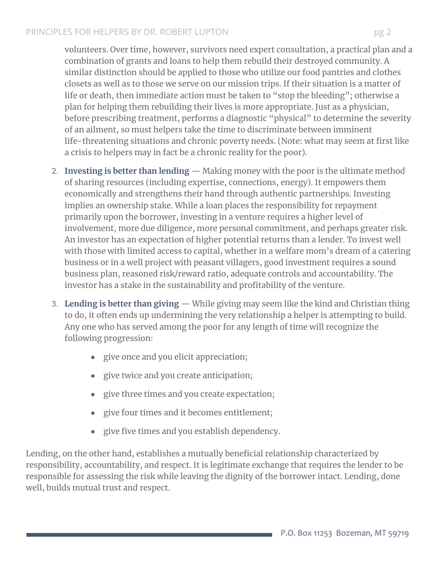## PRINCIPLES FOR HELPERS BY DR. ROBERT LUPTON pg 2

volunteers. Over time, however, survivors need expert consultation, a practical plan and a combination of grants and loans to help them rebuild their destroyed community. A similar distinction should be applied to those who utilize our food pantries and clothes closets as well as to those we serve on our mission trips. If their situation is a matter of life or death, then immediate action must be taken to "stop the bleeding"; otherwise a plan for helping them rebuilding their lives is more appropriate. Just as a physician, before prescribing treatment, performs a diagnostic "physical" to determine the severity of an ailment, so must helpers take the time to discriminate between imminent life-threatening situations and chronic poverty needs. (Note: what may seem at first like a crisis to helpers may in fact be a chronic reality for the poor).

- 2. **Investing is better than lending** Making money with the poor is the ultimate method of sharing resources (including expertise, connections, energy). It empowers them economically and strengthens their hand through authentic partnerships. Investing implies an ownership stake. While a loan places the responsibility for repayment primarily upon the borrower, investing in a venture requires a higher level of involvement, more due diligence, more personal commitment, and perhaps greater risk. An investor has an expectation of higher potential returns than a lender. To invest well with those with limited access to capital, whether in a welfare mom's dream of a catering business or in a well project with peasant villagers, good investment requires a sound business plan, reasoned risk/reward ratio, adequate controls and accountability. The investor has a stake in the sustainability and profitability of the venture.
- 3. **Lending is better than giving** While giving may seem like the kind and Christian thing to do, it often ends up undermining the very relationship a helper is attempting to build. Any one who has served among the poor for any length of time will recognize the following progression:
	- give once and you elicit appreciation;
	- give twice and you create anticipation;
	- give three times and you create expectation;
	- give four times and it becomes entitlement;
	- give five times and you establish dependency.

Lending, on the other hand, establishes a mutually beneficial relationship characterized by responsibility, accountability, and respect. It is legitimate exchange that requires the lender to be responsible for assessing the risk while leaving the dignity of the borrower intact. Lending, done well, builds mutual trust and respect.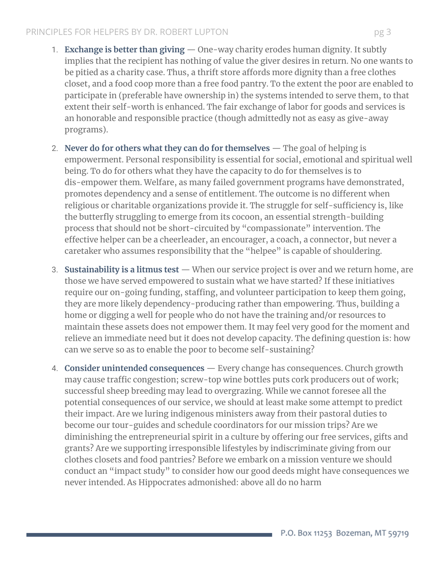#### PRINCIPLES FOR HELPERS BY DR. ROBERT LUPTON pg 3

- 1. **Exchange is better than giving** One-way charity erodes human dignity. It subtly implies that the recipient has nothing of value the giver desires in return. No one wants to be pitied as a charity case. Thus, a thrift store affords more dignity than a free clothes closet, and a food coop more than a free food pantry. To the extent the poor are enabled to participate in (preferable have ownership in) the systems intended to serve them, to that extent their self-worth is enhanced. The fair exchange of labor for goods and services is an honorable and responsible practice (though admittedly not as easy as give-away programs).
- 2. **Never do for others what they can do for themselves** The goal of helping is empowerment. Personal responsibility is essential for social, emotional and spiritual well being. To do for others what they have the capacity to do for themselves is to dis-empower them. Welfare, as many failed government programs have demonstrated, promotes dependency and a sense of entitlement. The outcome is no different when religious or charitable organizations provide it. The struggle for self-sufficiency is, like the butterfly struggling to emerge from its cocoon, an essential strength-building process that should not be short-circuited by "compassionate" intervention. The effective helper can be a cheerleader, an encourager, a coach, a connector, but never a caretaker who assumes responsibility that the "helpee" is capable of shouldering.
- 3. **Sustainability is a litmus test** When our service project is over and we return home, are those we have served empowered to sustain what we have started? If these initiatives require our on-going funding, staffing, and volunteer participation to keep them going, they are more likely dependency-producing rather than empowering. Thus, building a home or digging a well for people who do not have the training and/or resources to maintain these assets does not empower them. It may feel very good for the moment and relieve an immediate need but it does not develop capacity. The defining question is: how can we serve so as to enable the poor to become self-sustaining?
- 4. **Consider unintended consequences** Every change has consequences. Church growth may cause traffic congestion; screw-top wine bottles puts cork producers out of work; successful sheep breeding may lead to overgrazing. While we cannot foresee all the potential consequences of our service, we should at least make some attempt to predict their impact. Are we luring indigenous ministers away from their pastoral duties to become our tour-guides and schedule coordinators for our mission trips? Are we diminishing the entrepreneurial spirit in a culture by offering our free services, gifts and grants? Are we supporting irresponsible lifestyles by indiscriminate giving from our clothes closets and food pantries? Before we embark on a mission venture we should conduct an "impact study" to consider how our good deeds might have consequences we never intended. As Hippocrates admonished: above all do no harm